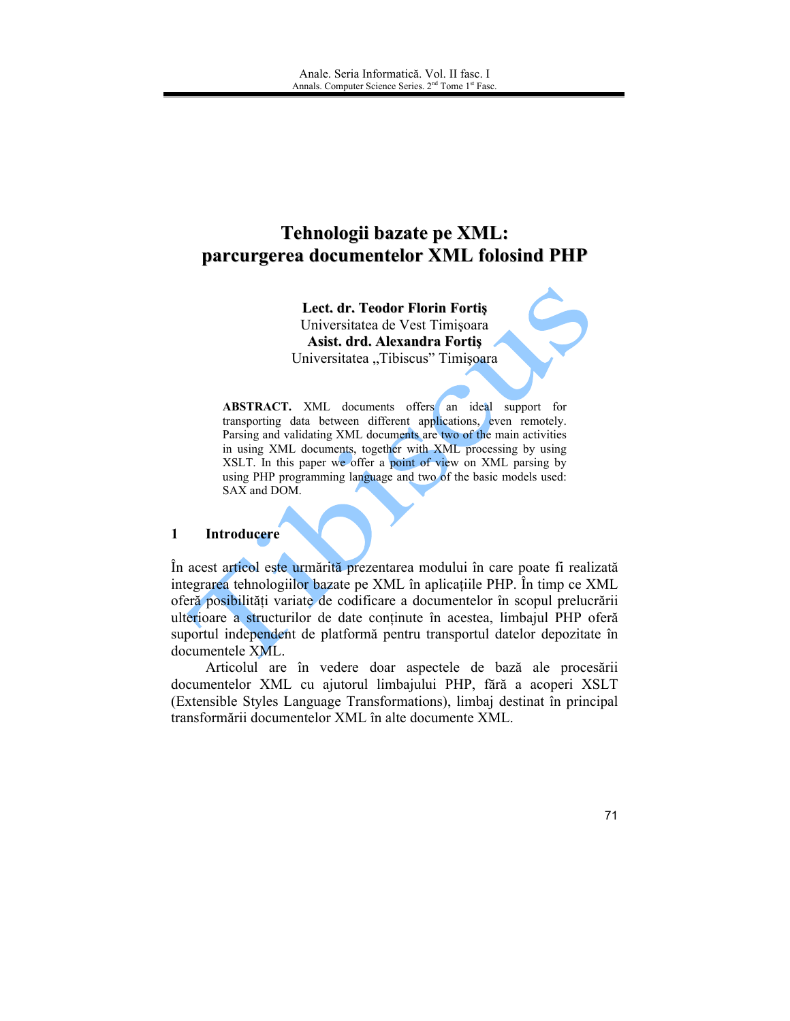# Tehnologii bazate pe XML: parcurgerea documentelor XML folosind PHP

Lect. dr. Teodor Florin Fortis Universitatea de Vest Timișoara Asist. drd. Alexandra Fortis Universitatea "Tibiscus" Timișoara

**ABSTRACT.** XML documents offers an ideal support for transporting data between different applications, even remotely. Parsing and validating XML documents are two of the main activities in using XML documents, together with XML processing by using XSLT. In this paper we offer a point of view on XML parsing by using PHP programming language and two of the basic models used: SAX and DOM.

#### $\mathbf{1}$ **Introducere**

În acest articol este urmărită prezentarea modului în care poate fi realizată integrarea tehnologiilor bazate pe XML în aplicațiile PHP. În timp ce XML oferă posibilități variate de codificare a documentelor în scopul prelucrării ulterioare a structurilor de date conținute în acestea, limbajul PHP oferă suportul independent de platformă pentru transportul datelor depozitate în documentele XML.

Articolul are în vedere doar aspectele de bază ale procesării documentelor XML cu ajutorul limbajului PHP, fără a acoperi XSLT (Extensible Styles Language Transformations), limbaj destinat în principal transformării documentelor XML în alte documente XML.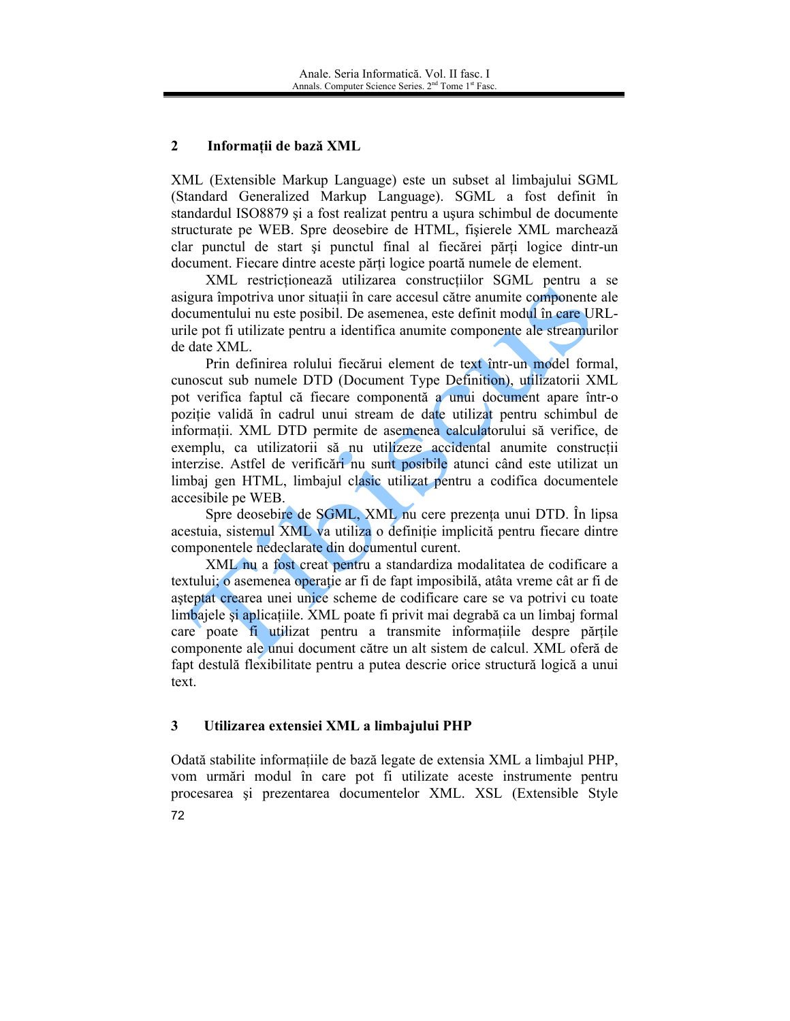#### $\overline{2}$ Informatii de bază XML

XML (Extensible Markup Language) este un subset al limbajului SGML (Standard Generalized Markup Language). SGML a fost definit în standardul ISO8879 și a fost realizat pentru a ușura schimbul de documente structurate pe WEB. Spre deosebire de HTML, fisierele XML marchează clar punctul de start și punctul final al fiecărei părți logice dintr-un document. Fiecare dintre aceste părti logice poartă numele de element.

XML restrictionează utilizarea construcțiilor SGML pentru a se asigura împotriva unor situații în care accesul către anumite componente ale documentului nu este posibil. De asemenea, este definit modul în care URLurile pot fi utilizate pentru a identifica anumite componente ale streamurilor de date XML.

Prin definirea rolului fiecărui element de text într-un model formal. cunoscut sub numele DTD (Document Type Definition), utilizatorii XML pot verifica faptul că fiecare componentă a unui document apare într-o poziție validă în cadrul unui stream de date utilizat pentru schimbul de informații. XML DTD permite de asemenea calculatorului să verifice, de exemplu, ca utilizatorii să nu utilizeze accidental anumite construcții interzise. Astfel de verificări nu sunt posibile atunci când este utilizat un limbaj gen HTML, limbajul clasic utilizat pentru a codifica documentele accesibile pe WEB.

Spre deosebire de SGML, XML nu cere prezenta unui DTD. În lipsa acestuia, sistemul XML va utiliza o definiție implicită pentru fiecare dintre componentele nedeclarate din documentul curent.

XML nu a fost creat pentru a standardiza modalitatea de codificare a textului; o asemenea operație ar fi de fapt imposibilă, atâta vreme cât ar fi de asteptat crearea unei unice scheme de codificare care se va potrivi cu toate limbajele și aplicațiile. XML poate fi privit mai degrabă ca un limbaj formal care poate fi utilizat pentru a transmite informațiile despre părțile componente ale unui document către un alt sistem de calcul. XML oferă de fapt destulă flexibilitate pentru a putea descrie orice structură logică a unui text.

#### $\mathbf{3}$ Utilizarea extensiei XML a limbajului PHP

Odată stabilite informațiile de bază legate de extensia XML a limbajul PHP, vom urmări modul în care pot fi utilizate aceste instrumente pentru procesarea și prezentarea documentelor XML. XSL (Extensible Style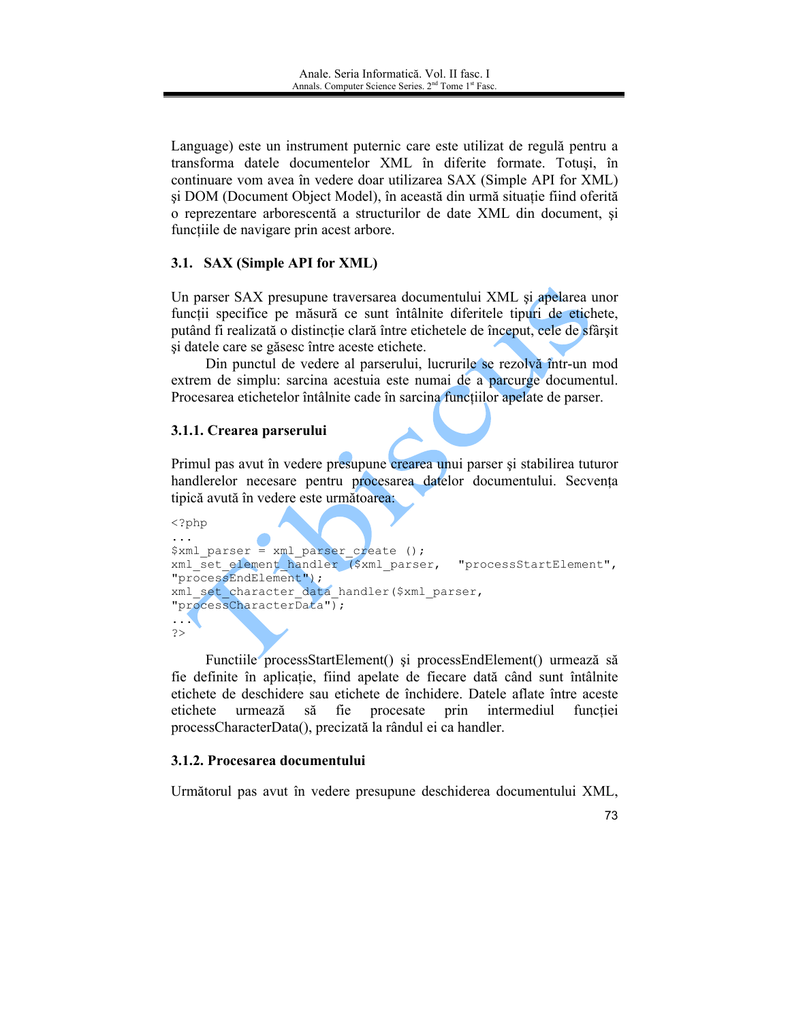Language) este un instrument puternic care este utilizat de regulă pentru a transforma datele documentelor XML în diferite formate. Totuși, în continuare vom avea în vedere doar utilizarea SAX (Simple API for XML) și DOM (Document Object Model), în această din urmă situație fiind oferită o reprezentare arborescentă a structurilor de date XML din document, și functiile de navigare prin acest arbore.

### 3.1. SAX (Simple API for XML)

Un parser SAX presupune traversarea documentului XML și apelarea unor funcții specifice pe măsură ce sunt întâlnite diferitele tipuri de etichete, putând fi realizată o distincție clară între etichetele de început, cele de sfârșit si datele care se găsesc între aceste etichete.

Din punctul de vedere al parserului, lucrurile se rezolvă într-un mod extrem de simplu: sarcina acestuia este numai de a parcurge documentul. Procesarea etichetelor întâlnite cade în sarcina funcțiilor apelate de parser.

### 3.1.1. Crearea parserului

Primul pas avut în vedere presupune crearea unui parser și stabilirea tuturor handlerelor necesare pentru procesarea datelor documentului. Secvența tipică avută în vedere este următoarea.

```
<?php
\cdots$xml parser = xml parser create ();
xml set element handler ($xml parser,
                                           "processStartElement",
"processEndElement");
xml set character data handler ($xml parser,
"processCharacterData");
\ldots\Rightarrow
```
Functiile processStartElement() și processEndElement() urmează să fie definite în aplicație, fiind apelate de fiecare dată când sunt întâlnite etichete de deschidere sau etichete de închidere. Datele aflate între aceste etichete urmează să fie procesate prin intermediul functiei processCharacterData(), precizată la rândul ei ca handler.

### 3.1.2. Procesarea documentului

Următorul pas avut în vedere presupune deschiderea documentului XML,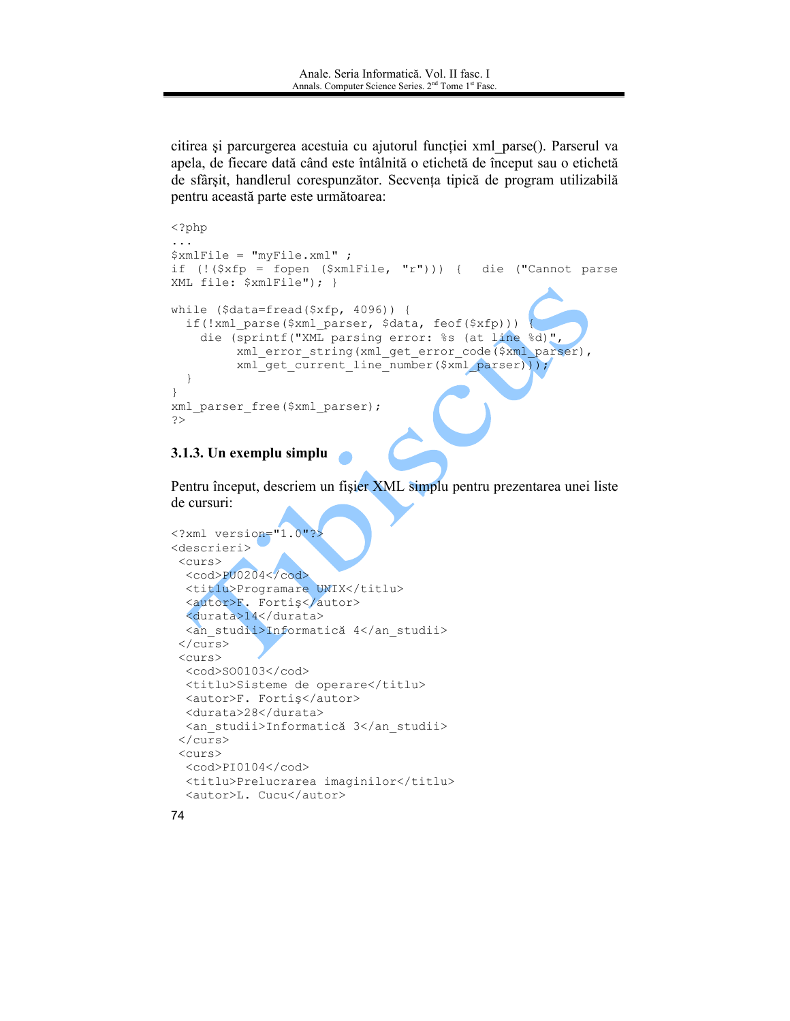citirea și parcurgerea acestuia cu ajutorul funcției xml parse(). Parserul va apela, de fiecare dată când este întâlnită o etichetă de început sau o etichetă de sfârșit, handlerul corespunzător. Secvența tipică de program utilizabilă pentru această parte este următoarea:

```
<?php
\overline{1}$xmlFile = "myFile.xml";
if (! (\frac{5}{xfp} = fopen (\frac{5}{xmlFile}, "r")) {
                                                    die ("Cannot parse
XML file: $xmlFile"); }
while (\text{5data=fread}(\text{5xfp}, 4096)) {
  if(!xml_parse($xml_parser, $data, feof($xfp)))
    die (sprintf ("XML parsing error: %s (at line %d)",
           xml error string (xml get error code ($xml parser),
           xml get current line number ($xml parser)));
  \overline{\phantom{a}}\rightarrowxml parser free ($xml parser);
\rightarrow
```
#### 3.1.3. Un exemplu simplu

Pentru început, descriem un fișier XML simplu pentru prezentarea unei liste de cursuri:

```
<?xml version="1.0"?>
<descrieri>
<curs>
 <cod>PU0204</cod>
 <titlu>Programare UNIX</titlu>
  <autor>F. Fortiş</autor>
  <durata>14</durata>
 <an studii>Informatică 4</an studii>
 \langle/curs>
 <curs><cod>S00103</cod>
 <titlu>Sisteme de operare</titlu>
 <autor>F. Fortis</autor>
 <durata>28</durata>
 <an studii>Informatică 3</an studii>
 \langle/curs>
 <curs><cod>PI0104</cod>
 <titlu>Prelucrarea imaginilor</titlu>
 <autor>L. Cucu</autor>
```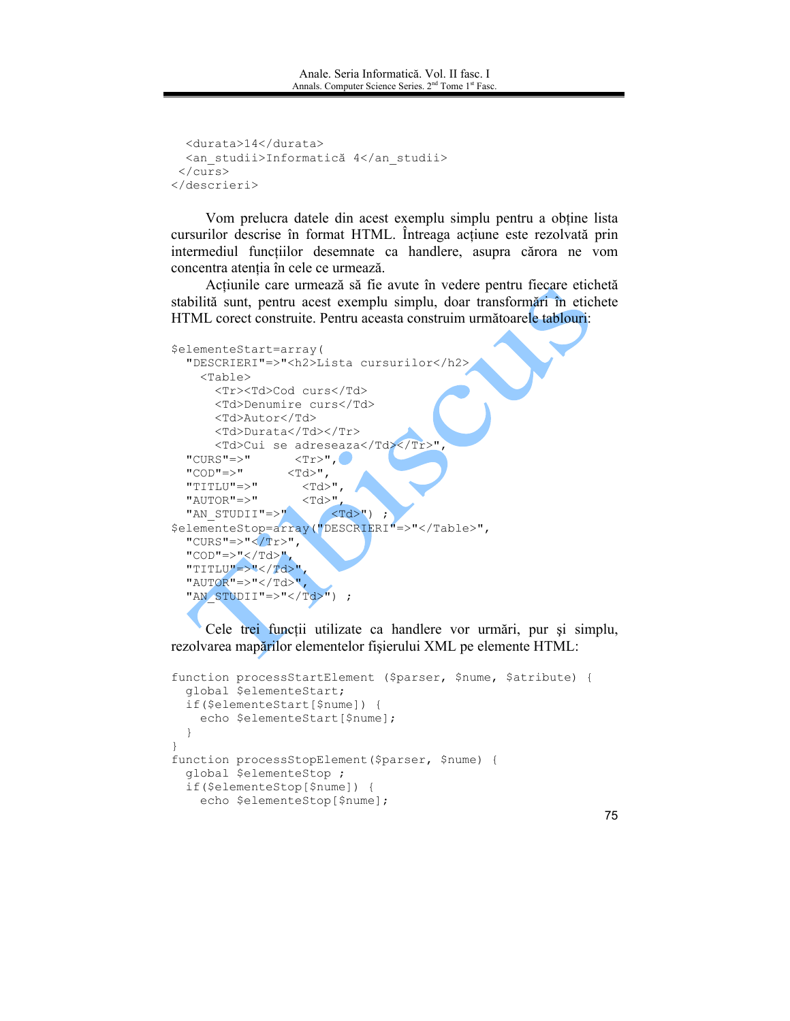```
<durata>14</durata>
 <an studii>Informatică 4</an studii>
\langle/curs>
</descrieri>
```
Vom prelucra datele din acest exemplu simplu pentru a obtine lista cursurilor descrise în format HTML. Intreaga acțiune este rezolvată prin intermediul funcțiilor desemnate ca handlere, asupra cărora ne vom concentra atenția în cele ce urmează.

Acțiunile care urmează să fie avute în vedere pentru fiecare etichetă stabilită sunt, pentru acest exemplu simplu, doar transformări în etichete HTML corect construite. Pentru aceasta construim următoarele tablouri:

```
$elementeStart=array(
  "DESCRIERI" =>"<h2>Lista cursurilor</h2>
   <Table><Tr><Td>Cod curs</Td>
     <Td>Denumire curs</Td>
     <Td>Autor</Td>
     <Td>Durata</Td></Tr>
     <Td>Cui se adreseaza</Td></Tr>"
 "CURS"=>"
               <Tr>",
 "COD"=>"
                <Td>",
                 <Td>",
 "TITLU"=>"
                 <Td>",
 "AUTOR" => "<Td>");
 "AN STUDII"=>"
$elementeStop=array("DESCRIERI"=>"</Table>",
 "CURS"=>"</Tr>",
 "COD"=>"</Td>",
 "TITLU"=>"</Td>"
  "AUTOR" => "</rd>","AN STUDII"=>"</Td>") ;
```
Cele trei funcții utilizate ca handlere vor urmări, pur și simplu, rezolvarea mapărilor elementelor fișierului XML pe elemente HTML:

```
function processStartElement ($parser, $nume, $atribute) {
  global $elementeStart;
  if($elementeStart[$nume]) {
    echo $elementeStart[$nume];
  \overline{\phantom{a}}\overline{\phantom{a}}function processStopElement ($parser, $nume) {
  global $elementeStop ;
  if($elementeStop[$nume]) {
    echo $elementeStop[$nume];
```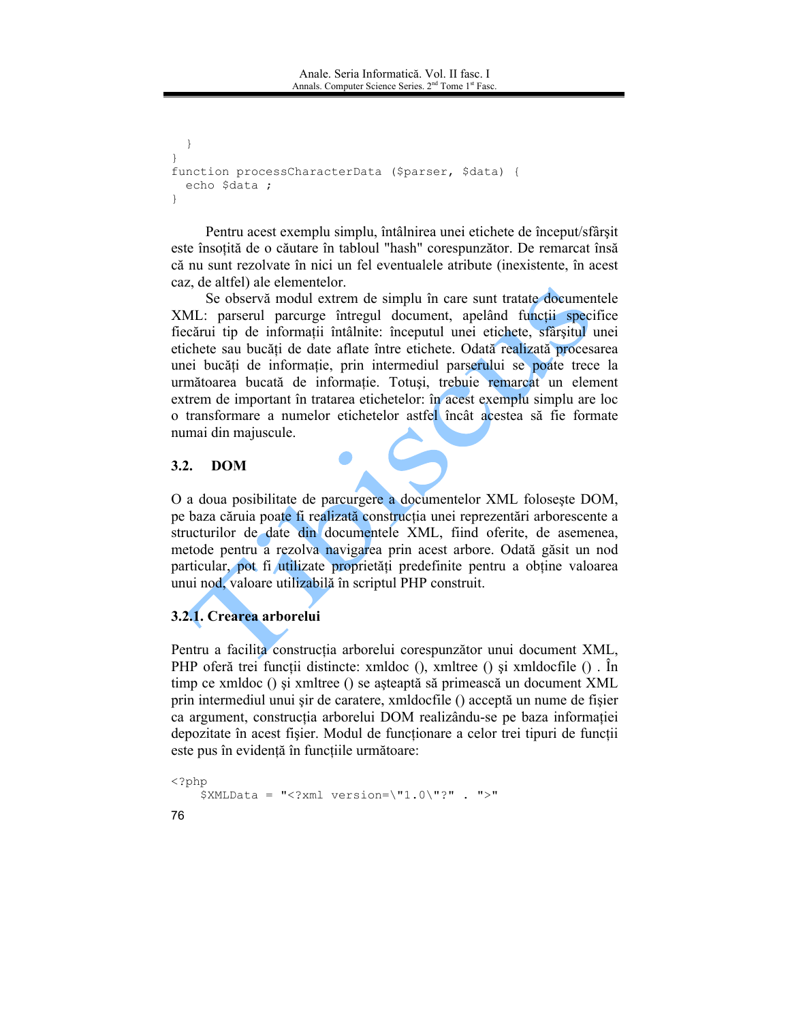```
\rightarrowfunction processCharacterData ($parser, $data) {
  echo $data ;
\overline{\phantom{a}}
```
Pentru acest exemplu simplu, întâlnirea unei etichete de început/sfârșit este însoțită de o căutare în tabloul "hash" corespunzător. De remarcat însă că nu sunt rezolvate în nici un fel eventualele atribute (inexistente, în acest caz, de altfel) ale elementelor.

Se observă modul extrem de simplu în care sunt tratate documentele XML: parserul parcurge întregul document, apelând functii specifice fiecărui tip de informații întâlnite: începutul unei etichete, sfârșitul unei etichete sau bucăti de date aflate între etichete. Odată realizată procesarea unei bucăți de informație, prin intermediul parserului se poate trece la următoarea bucată de informație. Totuși, trebuie remarcat un element extrem de important în tratarea etichetelor: în acest exemplu simplu are loc o transformare a numelor etichetelor astfel încât acestea să fie formate numai din majuscule.

#### $3.2.$ **DOM**

O a doua posibilitate de parcurgere a documentelor XML foloseste DOM, pe baza căruia poate fi realizată construcția unei reprezentări arborescente a structurilor de date din documentele XML, fiind oferite, de asemenea, metode pentru a rezolva navigarea prin acest arbore. Odată găsit un nod particular, pot fi utilizate proprietăți predefinite pentru a obține valoarea unui nod, valoare utilizabilă în scriptul PHP construit.

# 3.2.1. Crearea arborelui

Pentru a facilità construcția arborelui corespunzător unui document XML, PHP oferă trei funcții distincte: xmldoc (), xmltree () și xmldocfile (). În timp ce xmldoc () și xmltree () se așteaptă să primească un document XML prin intermediul unui sir de caratere, xmldocfile () acceptă un nume de fisier ca argument, construcția arborelui DOM realizându-se pe baza informației depozitate în acest fișier. Modul de funcționare a celor trei tipuri de funcții este pus în evidență în funcțiile următoare:

```
<?php
    $XMLData = "<?xml version=\"1.0\"?" . ">"
76
```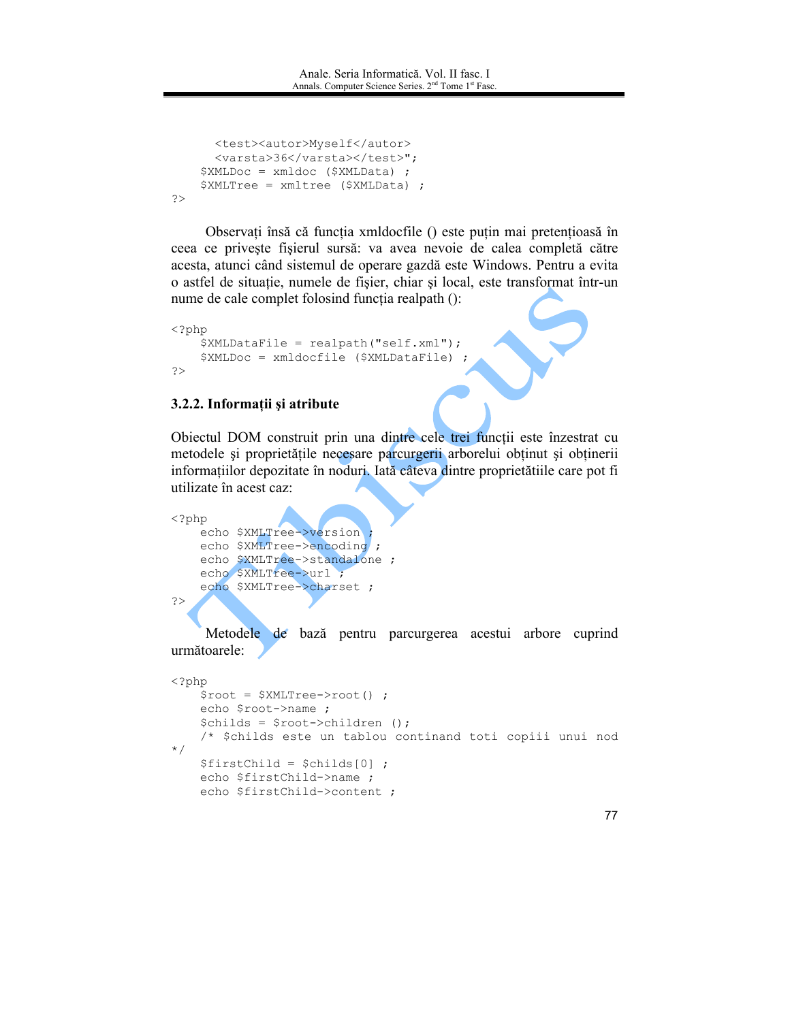```
<test><autor>Myself</autor>
     <varsta>36</varsta></test>";
    $XMLDoc = xmldoc ($XMLData) ;
    $XMLTree = xmltree ($XMLData) ;
\geq
```
Observați însă că funcția xmldocfile () este puțin mai pretențioasă în ceea ce privește fișierul sursă: va avea nevoie de calea completă către acesta, atunci când sistemul de operare gazdă este Windows. Pentru a evita o astfel de situație, numele de fișier, chiar și local, este transformat într-un nume de cale complet folosind functia realpath ():

```
\langle?php
    $XMLDataFile = realpath("self.xml");
    $XMLDoc = xmldocfile ($XMLDataFile) ;
\geq
```
### 3.2.2. Informații și atribute

Obiectul DOM construit prin una dintre cele trei funcții este înzestrat cu metodele și proprietățile necesare parcurgerii arborelui obținut și obținerii informațiilor depozitate în noduri. Iată câteva dintre proprietătiile care pot fi utilizate în acest caz:

```
<?php
    echo $XMLTree->version
    echo $XMLTree->encoding ;
    echo $XMLTree->standalone ;
    echo $XMLTree->url ;
    echo $XMLTree->charset ;
\rightarrow
```
Metodele de bază pentru parcurgerea acestui arbore cuprind următoarele:

```
\langle ?php$root = $XMLTree->root() ;
    echo $root->name ;
    $childs = $root->children ();/* $childs este un tablou continand toti copiii unui nod
\star /
    $firstChild = $childS[0] ;
   echo $firstChild->name ;
   echo $firstChild->content ;
```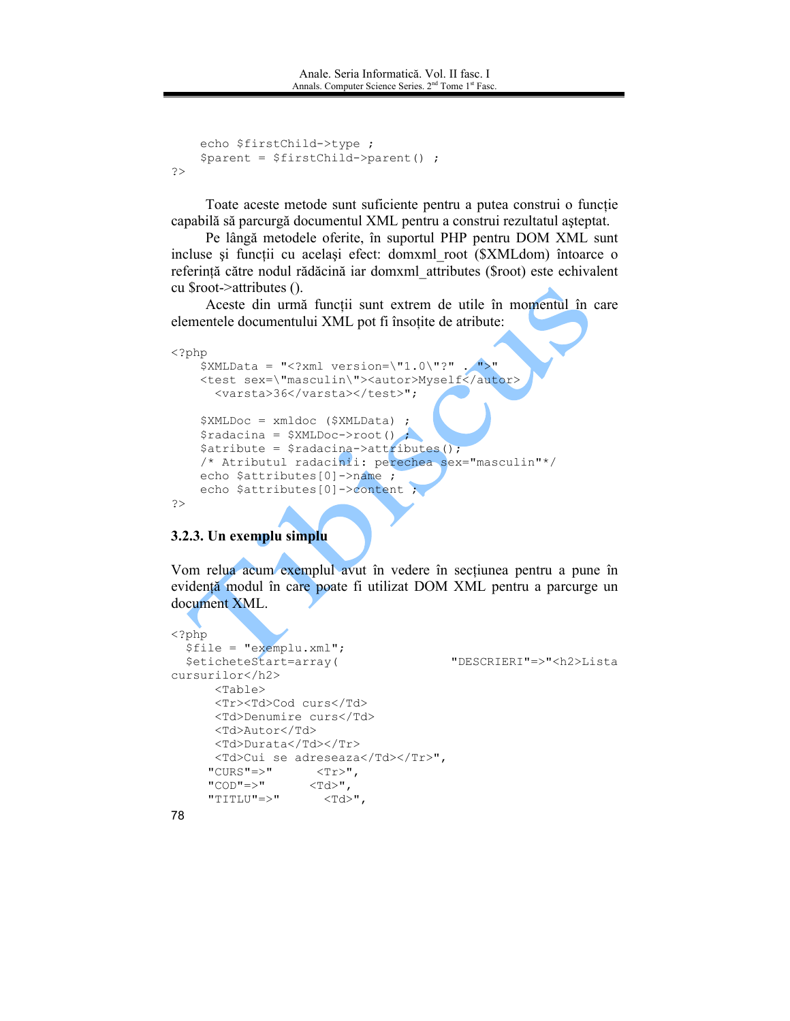```
echo $firstChild->type ;
    $parent = $firstChild->parent();
\gtrsim
```
Toate aceste metode sunt suficiente pentru a putea construi o funcție capabilă să parcurgă documentul XML pentru a construi rezultatul așteptat.

Pe lângă metodele oferite, în suportul PHP pentru DOM XML sunt incluse și funcții cu același efect: domxml root (\$XMLdom) întoarce o referință către nodul rădăcină iar domxml attributes (\$root) este echivalent cu \$root->attributes ().

Aceste din urmă funcții sunt extrem de utile în momentul în care elementele documentului XML pot fi însoțite de atribute:

```
\langle ?php$XMLData = "<?xml version=\"1.0\"?" . ">"
   <test sex=\"masculin\"><autor>Myself</autor>
     <varsta>36</varsta></test>";
   $XMLDoc = xmldoc ($XMLData)$radacina = $XMLDoc->root();
    $atribute = $radacina->attributes();
    /* Atributul radacinii: perechea sex="masculin"*/
   echo $attributes[0]->name ;
    echo $attributes[0]->content ;
?
```
#### 3.2.3. Un exemplu simplu

Vom relua acum exemplul avut în vedere în secțiunea pentru a pune în evidență modul în care poate fi utilizat DOM XML pentru a parcurge un document XML.

```
\langle ?php \rangle$file = "exemplu.xml";$eticheteStart=array(
                                        "DESCRIERI"=>"<h2>Lista
cursurilor</h2>
      <Table><Tr><Td>Cod curs</Td>
      <Td>Denumire curs</Td>
      <Td>Autor</Td>
      <Td>Durata</Td></Tr>
      <Td>Cui se adreseaza</Td></Tr>",
     "CURS"=>"
                 <Tr>",
     "COD"=>"
                   <Td>",
     "TITLU"=>"
                     <Td>",
```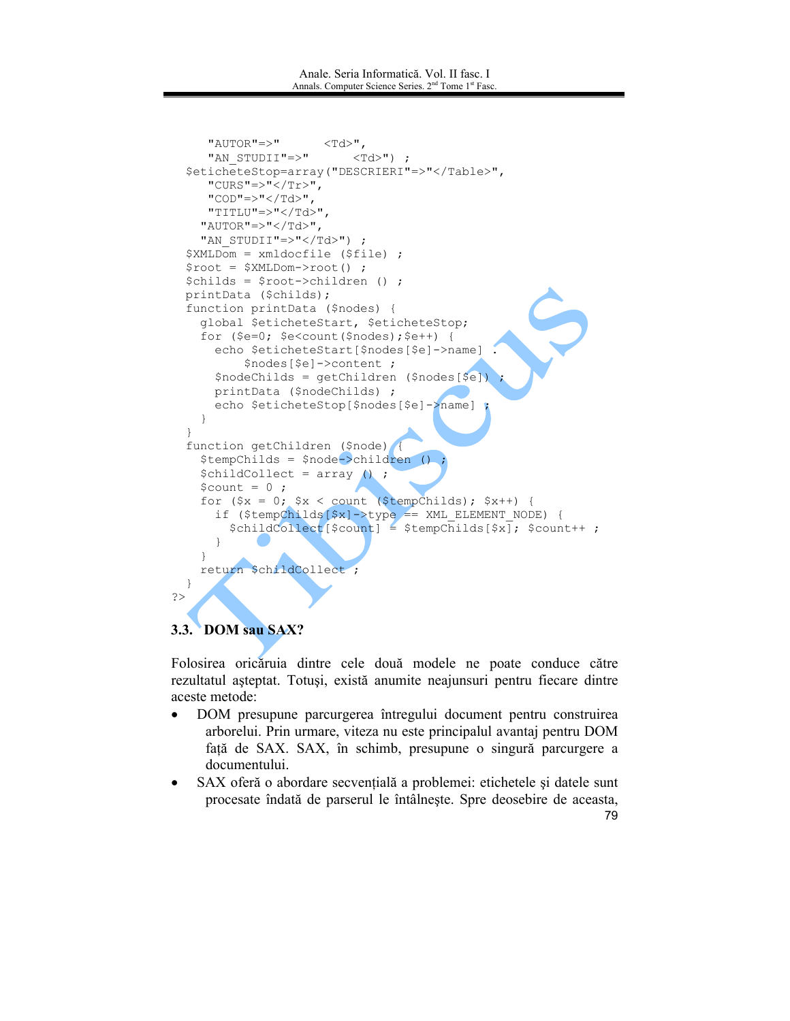```
"AUTOR" => "<Td>",
                             <Td>");
     "AN STUDII"=>"
  $eticheteStop=array("DESCRIERI"=>"</Table>",
      "CURS" =>"</Tr>",
     "COD"=>"</Td>",
     "TITLU"=>"</Td>"
    "AUTOR" => "2/Td>""AN STUDII"=>"</Td>") ;
  $XMLDom = xmldocfile ($file);
  \text{Proof} = \text{$XMLDom}\text{-}\text{root}();
  $childs = $root->children () ;
  printData ($childs);
  function printData ($nodes) {
    global $eticheteStart, $eticheteStop;
    for (\frac{5}{5}e=0; \frac{5}{5}e<\text{count}(\frac{5}{5}nodes); \frac{5}{5}e++) {
      echo $eticheteStart[$nodes[$e]->name]
           $nodes [$e] ->content ;
      $nodeChilds = getChildren ($nodes[$e])
      printData ($nodeChilds) ;
      echo $eticheteStop[$nodes[$e]->name]
    \}\rightarrowfunction getChildren ($node)
    $tempChilds = $node->children ()$childCollect = array ();
    \text{Scount} = 0;for (\$x = 0; \$x < count ($tempChilds); $x++) {
       if ($tempChilds[$x]->type == XML_ELEMENT_NODE) {
         $childCollect[Scount] = $tempChild[$x]; $count++;
       \mathcal{E}\overline{\phantom{a}}return $childCollect;
  - }
\geq
```
# 3.3. DOM sau SAX?

Folosirea oricăruia dintre cele două modele ne poate conduce către rezultatul așteptat. Totuși, există anumite neajunsuri pentru fiecare dintre aceste metode:

- $\bullet$ DOM presupune parcurgerea întregului document pentru construirea arborelui. Prin urmare, viteza nu este principalul avantaj pentru DOM față de SAX. SAX, în schimb, presupune o singură parcurgere a documentului.
- SAX oferă o abordare secventială a problemei: etichetele si datele sunt procesate îndată de parserul le întâlnește. Spre deosebire de aceasta, 79